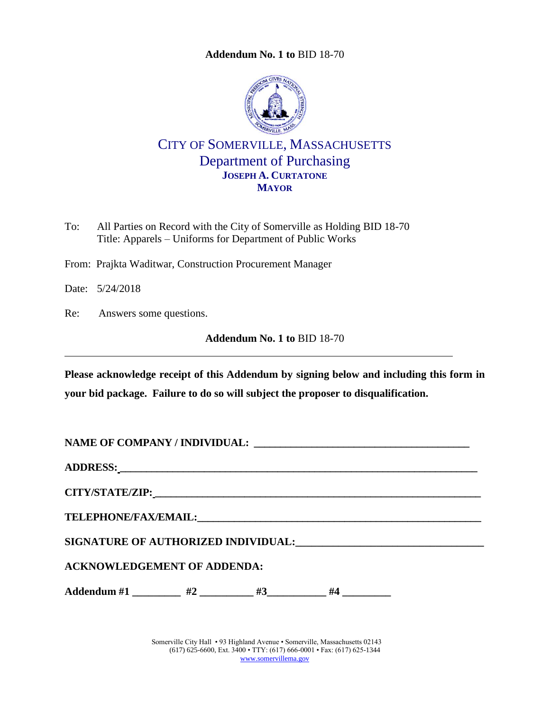**Addendum No. 1 to** [BID 18-70](#page-0-0)

<span id="page-0-0"></span>

CITY OF SOMERVILLE, MASSACHUSETTS Department of Purchasing **JOSEPH A. CURTATONE MAYOR**

- To: All Parties on Record with the City of Somerville as Holding BID 18-70 Title: Apparels – Uniforms for Department of Public Works
- From: Prajkta Waditwar, Construction Procurement Manager

Date: 5/24/2018

Re: Answers some questions.

**Addendum No. 1 to** [BID 18-70](#page-0-0)

**Please acknowledge receipt of this Addendum by signing below and including this form in your bid package. Failure to do so will subject the proposer to disqualification.**

**NAME OF COMPANY / INDIVIDUAL: \_\_\_\_\_\_\_\_\_\_\_\_\_\_\_\_\_\_\_\_\_\_\_\_\_\_\_\_\_\_\_\_\_\_\_\_\_\_\_\_\_**

**ADDRESS: \_\_\_\_\_\_\_\_\_\_\_\_\_\_\_\_\_\_\_\_\_\_\_\_\_\_\_\_\_\_\_\_\_\_\_\_\_\_\_\_\_\_\_\_\_\_\_\_\_\_\_\_\_\_\_\_\_\_\_\_\_\_\_\_\_\_\_\_**

**CITY/STATE/ZIP: \_\_\_\_\_\_\_\_\_\_\_\_\_\_\_\_\_\_\_\_\_\_\_\_\_\_\_\_\_\_\_\_\_\_\_\_\_\_\_\_\_\_\_\_\_\_\_\_\_\_\_\_\_\_\_\_\_\_\_\_\_\_**

**TELEPHONE/FAX/EMAIL:\_\_\_\_\_\_\_\_\_\_\_\_\_\_\_\_\_\_\_\_\_\_\_\_\_\_\_\_\_\_\_\_\_\_\_\_\_\_\_\_\_\_\_\_\_\_\_\_\_\_\_\_\_\_**

**SIGNATURE OF AUTHORIZED INDIVIDUAL:\_\_\_\_\_\_\_\_\_\_\_\_\_\_\_\_\_\_\_\_\_\_\_\_\_\_\_\_\_\_\_\_\_\_\_**

**ACKNOWLEDGEMENT OF ADDENDA:**

Addendum #1 \_\_\_\_\_\_\_\_\_ #2 \_\_\_\_\_\_\_\_\_ #3\_\_\_\_\_\_\_\_\_\_ #4 \_\_\_\_\_\_\_\_\_\_

Somerville City Hall • 93 Highland Avenue • Somerville, Massachusetts 02143 (617) 625-6600, Ext. 3400 • TTY: (617) 666-0001 • Fax: (617) 625-1344 [www.somervillema.gov](http://www.somervillema.gov/)